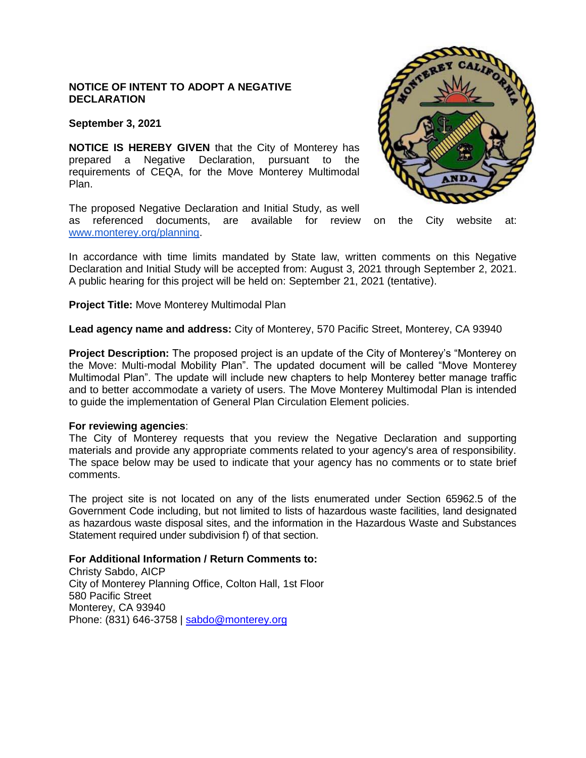# **NOTICE OF INTENT TO ADOPT A NEGATIVE DECLARATION**

**September 3, 2021**

**NOTICE IS HEREBY GIVEN** that the City of Monterey has prepared a Negative Declaration, pursuant to the requirements of CEQA, for the Move Monterey Multimodal Plan.

The proposed Negative Declaration and Initial Study, as well

as referenced documents, are available for review on the City website at: [www.monterey.org/planning.](http://www.monterey.org/planning)

In accordance with time limits mandated by State law, written comments on this Negative Declaration and Initial Study will be accepted from: August 3, 2021 through September 2, 2021. A public hearing for this project will be held on: September 21, 2021 (tentative).

**Project Title:** Move Monterey Multimodal Plan

**Lead agency name and address:** City of Monterey, 570 Pacific Street, Monterey, CA 93940

**Project Description:** The proposed project is an update of the City of Monterey's "Monterey on the Move: Multi-modal Mobility Plan". The updated document will be called "Move Monterey Multimodal Plan". The update will include new chapters to help Monterey better manage traffic and to better accommodate a variety of users. The Move Monterey Multimodal Plan is intended to guide the implementation of General Plan Circulation Element policies.

## **For reviewing agencies**:

The City of Monterey requests that you review the Negative Declaration and supporting materials and provide any appropriate comments related to your agency's area of responsibility. The space below may be used to indicate that your agency has no comments or to state brief comments.

The project site is not located on any of the lists enumerated under Section 65962.5 of the Government Code including, but not limited to lists of hazardous waste facilities, land designated as hazardous waste disposal sites, and the information in the Hazardous Waste and Substances Statement required under subdivision f) of that section.

#### **For Additional Information / Return Comments to:**

Christy Sabdo, AICP City of Monterey Planning Office, Colton Hall, 1st Floor 580 Pacific Street Monterey, CA 93940 Phone: (831) 646-3758 | [sabdo@monterey.org](mailto:sabdo@monterey.org)

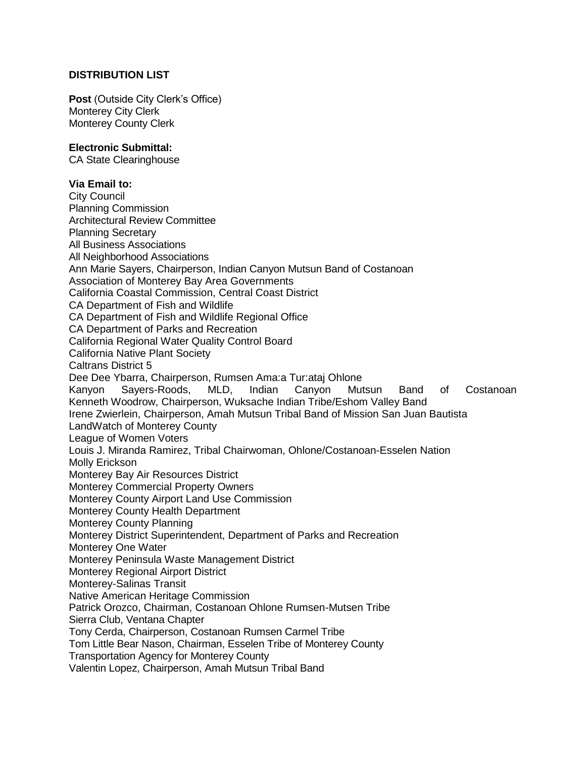# **DISTRIBUTION LIST**

**Post** (Outside City Clerk's Office) Monterey City Clerk Monterey County Clerk

## **Electronic Submittal:**

CA State Clearinghouse

## **Via Email to:**

City Council Planning Commission Architectural Review Committee Planning Secretary All Business Associations All Neighborhood Associations Ann Marie Sayers, Chairperson, Indian Canyon Mutsun Band of Costanoan Association of Monterey Bay Area Governments California Coastal Commission, Central Coast District CA Department of Fish and Wildlife CA Department of Fish and Wildlife Regional Office CA Department of Parks and Recreation California Regional Water Quality Control Board California Native Plant Society Caltrans District 5 Dee Dee Ybarra, Chairperson, Rumsen Ama:a Tur:ataj Ohlone Kanyon Sayers-Roods, MLD, Indian Canyon Mutsun Band of Costanoan Kenneth Woodrow, Chairperson, Wuksache Indian Tribe/Eshom Valley Band Irene Zwierlein, Chairperson, Amah Mutsun Tribal Band of Mission San Juan Bautista LandWatch of Monterey County League of Women Voters Louis J. Miranda Ramirez, Tribal Chairwoman, Ohlone/Costanoan-Esselen Nation Molly Erickson Monterey Bay Air Resources District Monterey Commercial Property Owners Monterey County Airport Land Use Commission Monterey County Health Department Monterey County Planning Monterey District Superintendent, Department of Parks and Recreation Monterey One Water Monterey Peninsula Waste Management District Monterey Regional Airport District Monterey-Salinas Transit Native American Heritage Commission Patrick Orozco, Chairman, Costanoan Ohlone Rumsen-Mutsen Tribe Sierra Club, Ventana Chapter Tony Cerda, Chairperson, Costanoan Rumsen Carmel Tribe Tom Little Bear Nason, Chairman, Esselen Tribe of Monterey County Transportation Agency for Monterey County Valentin Lopez, Chairperson, Amah Mutsun Tribal Band